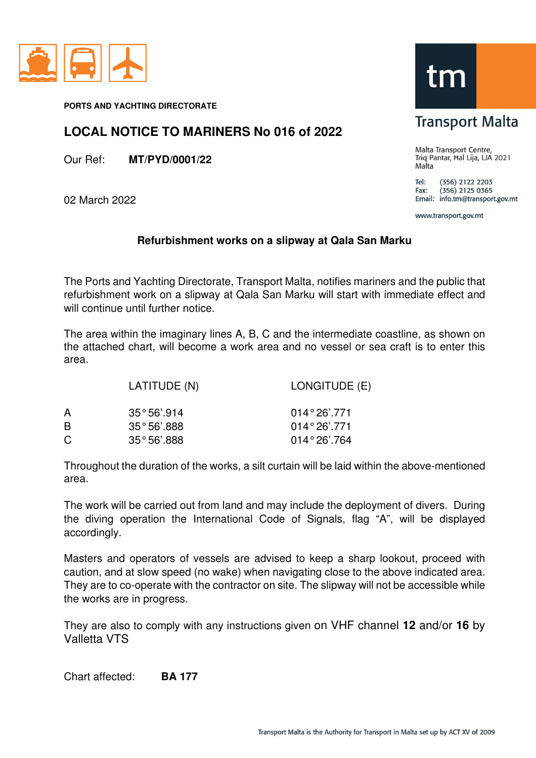

**PORTS AND YACHTING DIRECTORATE** 

## **LOCAL NOTICE TO MARINERS No 016 of 2022**

Our Ref: **MT/PYD/0001/22** 

02 March 2022

## **Refurbishment works on a slipway at Qala San Marku**

The Ports and Yachting Directorate, Transport Malta, notifies mariners and the public that refurbishment work on a slipway at Qala San Marku will start with immediate effect and will continue until further notice.

The area within the imaginary lines A, B, C and the intermediate coastline, as shown on the attached chart, will become a work area and no vessel or sea craft is to enter this area.

|   | LATITUDE (N)         | LONGITUDE (E)         |
|---|----------------------|-----------------------|
| A | $35^{\circ}56'$ .914 | $014^{\circ}26'$ .771 |
| B | $35°56'$ .888        | $014^{\circ}26'$ .771 |
| C | $35°56'$ .888        | $014^{\circ}26'$ .764 |

Throughout the duration of the works, a silt curtain will be laid within the above-mentioned area.

The work will be carried out from land and may include the deployment of divers. During the diving operation the International Code of Signals, flag "A", will be displayed accordingly.

Masters and operators of vessels are advised to keep a sharp lookout, proceed with caution, and at slow speed (no wake) when navigating close to the above indicated area. They are to co-operate with the contractor on site. The slipway will not be accessible while the works are in progress.

They are also to comply with any instructions given on VHF channel **12** and/or **16** by Valletta VTS

Chart affected: **BA 177** 

## tm

**Transport Malta** 

Malta Transport Centre, Triq Pantar, Hal Lija, LJA 2021 Malta

Tel: (356) 2122 2203  $(356)$  2125 0365 Fax: Email: info.tm@transport.gov.mt

www.transport.gov.mt